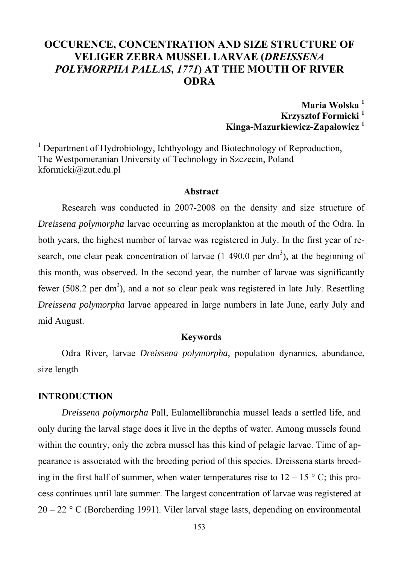# **OCCURENCE, CONCENTRATION AND SIZE STRUCTURE OF VELIGER ZEBRA MUSSEL LARVAE (***DREISSENA POLYMORPHA PALLAS, 1771***) AT THE MOUTH OF RIVER ODRA**

**Maria Wolska 1 Krzysztof Formicki 1 Kinga-Mazurkiewicz-Zapałowicz <sup>1</sup>** 

<sup>1</sup> Department of Hydrobiology, Ichthyology and Biotechnology of Reproduction, The Westpomeranian University of Technology in Szczecin, Poland kformicki@zut.edu.pl

#### **Abstract**

Research was conducted in 2007-2008 on the density and size structure of *Dreissena polymorpha* larvae occurring as meroplankton at the mouth of the Odra. In both years, the highest number of larvae was registered in July. In the first year of research, one clear peak concentration of larvae  $(1, 490.0 \text{ per dm}^3)$ , at the beginning of this month, was observed. In the second year, the number of larvae was significantly fewer (508.2 per dm<sup>3</sup>), and a not so clear peak was registered in late July. Resettling *Dreissena polymorpha* larvae appeared in large numbers in late June, early July and mid August.

### **Keywords**

Odra River, larvae *Dreissena polymorpha*, population dynamics, abundance, size length

### **INTRODUCTION**

*Dreissena polymorpha* Pall, Eulamellibranchia mussel leads a settled life, and only during the larval stage does it live in the depths of water. Among mussels found within the country, only the zebra mussel has this kind of pelagic larvae. Time of appearance is associated with the breeding period of this species. Dreissena starts breeding in the first half of summer, when water temperatures rise to  $12 - 15$  ° C; this process continues until late summer. The largest concentration of larvae was registered at  $20 - 22$  ° C (Borcherding 1991). Viler larval stage lasts, depending on environmental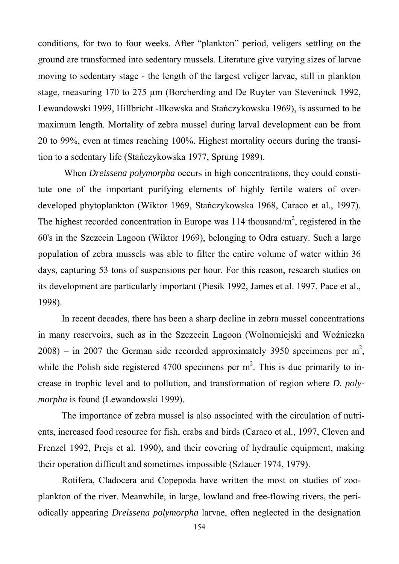conditions, for two to four weeks. After "plankton" period, veligers settling on the ground are transformed into sedentary mussels. Literature give varying sizes of larvae moving to sedentary stage - the length of the largest veliger larvae, still in plankton stage, measuring 170 to 275 µm (Borcherding and De Ruyter van Steveninck 1992, Lewandowski 1999, Hillbricht -Ilkowska and Stańczykowska 1969), is assumed to be maximum length. Mortality of zebra mussel during larval development can be from 20 to 99%, even at times reaching 100%. Highest mortality occurs during the transition to a sedentary life (Stańczykowska 1977, Sprung 1989).

 When *Dreissena polymorpha* occurs in high concentrations, they could constitute one of the important purifying elements of highly fertile waters of overdeveloped phytoplankton (Wiktor 1969, Stańczykowska 1968, Caraco et al., 1997). The highest recorded concentration in Europe was  $114$  thousand/ $m<sup>2</sup>$ , registered in the 60's in the Szczecin Lagoon (Wiktor 1969), belonging to Odra estuary. Such a large population of zebra mussels was able to filter the entire volume of water within 36 days, capturing 53 tons of suspensions per hour. For this reason, research studies on its development are particularly important (Piesik 1992, James et al. 1997, Pace et al., 1998).

In recent decades, there has been a sharp decline in zebra mussel concentrations in many reservoirs, such as in the Szczecin Lagoon (Wolnomiejski and Woźniczka  $2008$ ) – in 2007 the German side recorded approximately 3950 specimens per m<sup>2</sup>, while the Polish side registered 4700 specimens per  $m<sup>2</sup>$ . This is due primarily to increase in trophic level and to pollution, and transformation of region where *D. polymorpha* is found (Lewandowski 1999).

The importance of zebra mussel is also associated with the circulation of nutrients, increased food resource for fish, crabs and birds (Caraco et al., 1997, Cleven and Frenzel 1992, Prejs et al. 1990), and their covering of hydraulic equipment, making their operation difficult and sometimes impossible (Szlauer 1974, 1979).

Rotifera, Cladocera and Copepoda have written the most on studies of zooplankton of the river. Meanwhile, in large, lowland and free-flowing rivers, the periodically appearing *Dreissena polymorpha* larvae, often neglected in the designation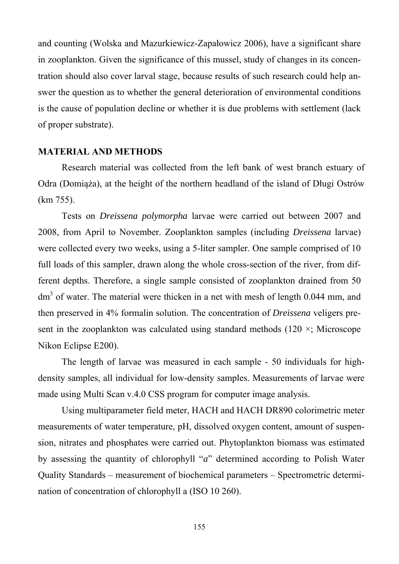and counting (Wolska and Mazurkiewicz-Zapałowicz 2006), have a significant share in zooplankton. Given the significance of this mussel, study of changes in its concentration should also cover larval stage, because results of such research could help answer the question as to whether the general deterioration of environmental conditions is the cause of population decline or whether it is due problems with settlement (lack of proper substrate).

### **MATERIAL AND METHODS**

Research material was collected from the left bank of west branch estuary of Odra (Domiąża), at the height of the northern headland of the island of Długi Ostrów (km 755).

Tests on *Dreissena polymorpha* larvae were carried out between 2007 and 2008, from April to November. Zooplankton samples (including *Dreissena* larvae) were collected every two weeks, using a 5-liter sampler. One sample comprised of 10 full loads of this sampler, drawn along the whole cross-section of the river, from different depths. Therefore, a single sample consisted of zooplankton drained from 50  $dm<sup>3</sup>$  of water. The material were thicken in a net with mesh of length 0.044 mm, and then preserved in 4% formalin solution. The concentration of *Dreissena* veligers present in the zooplankton was calculated using standard methods (120  $\times$ ; Microscope Nikon Eclipse E200).

The length of larvae was measured in each sample - 50 individuals for highdensity samples, all individual for low-density samples. Measurements of larvae were made using Multi Scan v.4.0 CSS program for computer image analysis.

Using multiparameter field meter, HACH and HACH DR890 colorimetric meter measurements of water temperature, pH, dissolved oxygen content, amount of suspension, nitrates and phosphates were carried out. Phytoplankton biomass was estimated by assessing the quantity of chlorophyll "*a*" determined according to Polish Water Quality Standards – measurement of biochemical parameters – Spectrometric determination of concentration of chlorophyll a (ISO 10 260).

155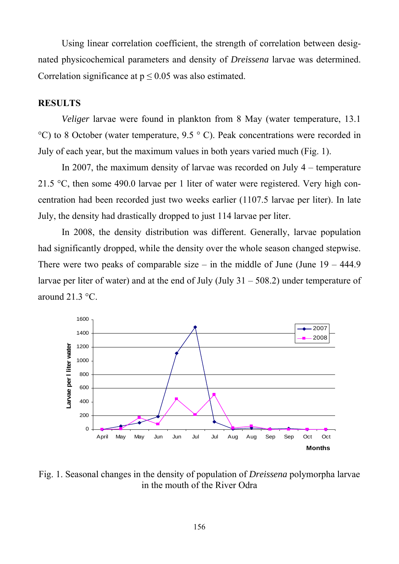Using linear correlation coefficient, the strength of correlation between designated physicochemical parameters and density of *Dreissena* larvae was determined. Correlation significance at  $p \le 0.05$  was also estimated.

### **RESULTS**

*Veliger* larvae were found in plankton from 8 May (water temperature, 13.1)  $^{\circ}$ C) to 8 October (water temperature, 9.5  $^{\circ}$  C). Peak concentrations were recorded in July of each year, but the maximum values in both years varied much (Fig. 1).

In 2007, the maximum density of larvae was recorded on July 4 – temperature 21.5 °C, then some 490.0 larvae per 1 liter of water were registered. Very high concentration had been recorded just two weeks earlier (1107.5 larvae per liter). In late July, the density had drastically dropped to just 114 larvae per liter.

In 2008, the density distribution was different. Generally, larvae population had significantly dropped, while the density over the whole season changed stepwise. There were two peaks of comparable size – in the middle of June (June  $19 - 444.9$ ) larvae per liter of water) and at the end of July  $(July 31 - 508.2)$  under temperature of around 21.3 °C.



Fig. 1. Seasonal changes in the density of population of *Dreissena* polymorpha larvae in the mouth of the River Odra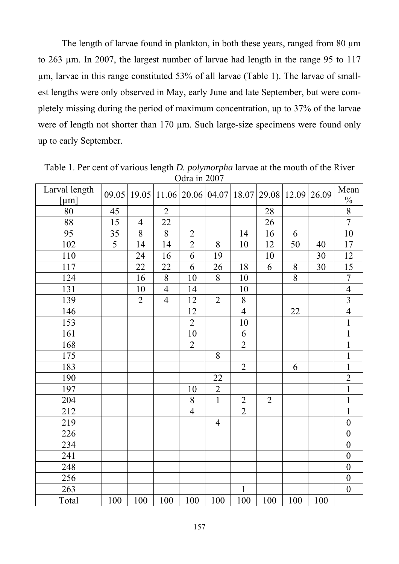The length of larvae found in plankton, in both these years, ranged from 80  $\mu$ m to 263 µm. In 2007, the largest number of larvae had length in the range 95 to 117 µm, larvae in this range constituted 53% of all larvae (Table 1). The larvae of smallest lengths were only observed in May, early June and late September, but were completely missing during the period of maximum concentration, up to 37% of the larvae were of length not shorter than 170 µm. Such large-size specimens were found only up to early September.

| $U$ ula ili 2007 |                |                |                |                |                          |                |                |       |       |                         |
|------------------|----------------|----------------|----------------|----------------|--------------------------|----------------|----------------|-------|-------|-------------------------|
| Larval length    | 09.05          |                |                |                | 19.05 11.06 20.06 04.07  | 18.07          | 29.08          | 12.09 | 26.09 | Mean                    |
| [µm]             |                |                |                |                |                          |                |                |       |       |                         |
| 80               | 45             |                | $\overline{2}$ |                |                          |                | 28             |       |       | $\frac{\frac{9}{6}}{8}$ |
| 88               | 15             | $\overline{4}$ | 22             |                |                          |                | 26             |       |       |                         |
| 95               | 35             | 8              | $8\,$          | $\overline{2}$ |                          | 14             | 16             | 6     |       | 10                      |
| 102              | $\overline{5}$ | 14             | 14             | $\overline{2}$ | 8                        | 10             | 12             | 50    | 40    | 17                      |
| 110              |                | 24             | 16             | 6              | 19                       |                | 10             |       | 30    | 12                      |
| 117              |                | 22             | 22             | 6              | 26                       | 18             | 6              | 8     | 30    | 15                      |
| 124              |                | 16             | $8\,$          | 10             | 8                        | 10             |                | 8     |       | $\overline{7}$          |
| 131              |                | 10             | $\overline{4}$ | 14             |                          | 10             |                |       |       | $\overline{4}$          |
| 139              |                | $\overline{2}$ | $\overline{4}$ | 12             | $\overline{2}$           | 8              |                |       |       | $\overline{3}$          |
| 146              |                |                |                | 12             |                          | $\overline{4}$ |                | 22    |       | $\overline{4}$          |
| 153              |                |                |                | $\overline{2}$ |                          | 10             |                |       |       | $\mathbf{1}$            |
| 161              |                |                |                | 10             |                          | 6              |                |       |       | $\mathbf{1}$            |
| 168              |                |                |                | $\overline{2}$ |                          | $\overline{2}$ |                |       |       | $\mathbf{1}$            |
| 175              |                |                |                |                | 8                        |                |                |       |       | $\mathbf{1}$            |
| 183              |                |                |                |                |                          | $\overline{2}$ |                | 6     |       | $\mathbf{1}$            |
| 190              |                |                |                |                | 22                       |                |                |       |       | $\overline{2}$          |
| 197              |                |                |                | 10             | $\overline{2}$           |                |                |       |       | $\mathbf{1}$            |
| 204              |                |                |                | $8\,$          | $\mathbf{1}$             | $\overline{2}$ | $\overline{2}$ |       |       | $\mathbf{1}$            |
| 212              |                |                |                | $\overline{4}$ |                          | $\overline{2}$ |                |       |       | $\mathbf{1}$            |
| 219              |                |                |                |                | $\overline{\mathcal{A}}$ |                |                |       |       | $\boldsymbol{0}$        |
| 226              |                |                |                |                |                          |                |                |       |       | $\boldsymbol{0}$        |
| 234              |                |                |                |                |                          |                |                |       |       | $\mathbf{0}$            |
| 241              |                |                |                |                |                          |                |                |       |       | $\boldsymbol{0}$        |
| 248              |                |                |                |                |                          |                |                |       |       | $\boldsymbol{0}$        |
| 256              |                |                |                |                |                          |                |                |       |       | $\boldsymbol{0}$        |
| 263              |                |                |                |                |                          | $\mathbf{1}$   |                |       |       | $\boldsymbol{0}$        |
| Total            | 100            | 100            | 100            | 100            | 100                      | 100            | 100            | 100   | 100   |                         |

Table 1. Per cent of various length *D. polymorpha* larvae at the mouth of the River  $O<sub>dra</sub>$  in 2007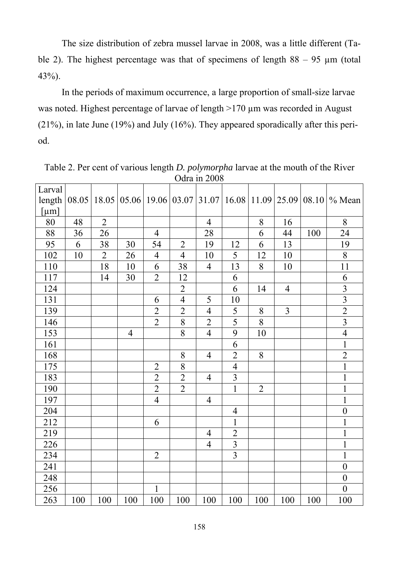The size distribution of zebra mussel larvae in 2008, was a little different (Table 2). The highest percentage was that of specimens of length  $88 - 95 \mu m$  (total 43%).

In the periods of maximum occurrence, a large proportion of small-size larvae was noted. Highest percentage of larvae of length  $>170 \mu m$  was recorded in August (21%), in late June (19%) and July (16%). They appeared sporadically after this period.

|        |       |                |                         |                |                | Odra in 2008   |                |                |                |     |                                           |
|--------|-------|----------------|-------------------------|----------------|----------------|----------------|----------------|----------------|----------------|-----|-------------------------------------------|
| Larval |       |                |                         |                |                |                |                |                |                |     |                                           |
| length | 08.05 |                | 18.05 05.06 19.06 03.07 |                |                | 31.07          | 16.08          | 11.09          | 25.09          |     | 08.10 $\%$ Mean                           |
| [µm]   |       |                |                         |                |                |                |                |                |                |     |                                           |
| 80     | 48    | $\overline{2}$ |                         |                |                | $\overline{4}$ |                | 8              | 16             |     | 8                                         |
| 88     | 36    | 26             |                         | $\overline{4}$ |                | 28             |                | 6              | 44             | 100 | 24                                        |
| 95     | 6     | 38             | 30                      | 54             | $\overline{2}$ | 19             | 12             | 6              | 13             |     | 19                                        |
| 102    | 10    | $\overline{2}$ | 26                      | $\overline{4}$ | $\overline{4}$ | 10             | 5              | 12             | 10             |     | 8                                         |
| 110    |       | 18             | 10                      | 6              | 38             | $\overline{4}$ | 13             | 8              | 10             |     | 11                                        |
| 117    |       | 14             | 30                      | $\overline{2}$ | 12             |                | 6              |                |                |     | 6                                         |
| 124    |       |                |                         |                | $\overline{2}$ |                | 6              | 14             | $\overline{4}$ |     | $\frac{3}{3}$ $\frac{3}{2}$ $\frac{2}{3}$ |
| 131    |       |                |                         | 6              | $\overline{4}$ | 5              | 10             |                |                |     |                                           |
| 139    |       |                |                         | $\overline{2}$ | $\overline{2}$ | $\overline{4}$ | 5              | $8\,$          | $\overline{3}$ |     |                                           |
| 146    |       |                |                         | $\overline{2}$ | 8              | $\overline{2}$ | $\overline{5}$ | 8              |                |     |                                           |
| 153    |       |                | $\overline{4}$          |                | 8              | $\overline{4}$ | 9              | 10             |                |     | $\overline{4}$                            |
| 161    |       |                |                         |                |                |                | 6              |                |                |     | $\mathbf{1}$                              |
| 168    |       |                |                         |                | 8              | $\overline{4}$ | $\overline{2}$ | 8              |                |     | $\overline{2}$                            |
| 175    |       |                |                         | $\overline{2}$ | 8              |                | $\overline{4}$ |                |                |     | $\overline{1}$                            |
| 183    |       |                |                         | $\overline{2}$ | $\overline{2}$ | $\overline{4}$ | $\overline{3}$ |                |                |     | $\mathbf{1}$                              |
| 190    |       |                |                         | $\overline{2}$ | $\overline{2}$ |                | $\mathbf{1}$   | $\overline{2}$ |                |     | $\mathbf{1}$                              |
| 197    |       |                |                         | $\overline{4}$ |                | $\overline{4}$ |                |                |                |     | $\mathbf{1}$                              |
| 204    |       |                |                         |                |                |                | $\overline{4}$ |                |                |     | $\overline{0}$                            |
| 212    |       |                |                         | 6              |                |                | $\mathbf{1}$   |                |                |     | $\mathbf{1}$                              |
| 219    |       |                |                         |                |                | $\overline{4}$ | $\overline{2}$ |                |                |     | $\mathbf{1}$                              |
| 226    |       |                |                         |                |                | $\overline{4}$ | $\overline{3}$ |                |                |     | $\mathbf{1}$                              |
| 234    |       |                |                         | $\overline{2}$ |                |                | $\overline{3}$ |                |                |     | $\mathbf{1}$                              |
| 241    |       |                |                         |                |                |                |                |                |                |     | $\boldsymbol{0}$                          |
| 248    |       |                |                         |                |                |                |                |                |                |     | $\boldsymbol{0}$                          |
| 256    |       |                |                         | $\mathbf{1}$   |                |                |                |                |                |     | $\mathbf{0}$                              |
| 263    | 100   | 100            | 100                     | 100            | 100            | 100            | 100            | 100            | 100            | 100 | 100                                       |

Table 2. Per cent of various length *D. polymorpha* larvae at the mouth of the River Odra in 2008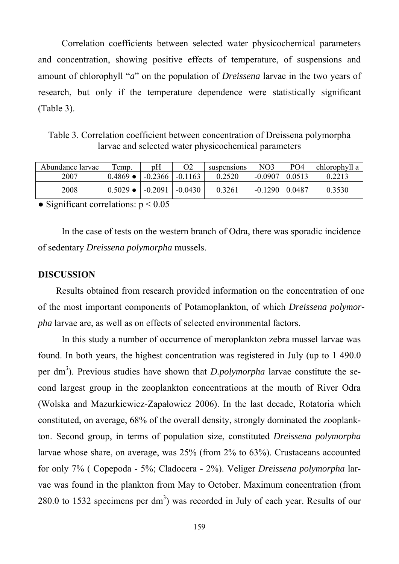Correlation coefficients between selected water physicochemical parameters and concentration, showing positive effects of temperature, of suspensions and amount of chlorophyll "*a*" on the population of *Dreissena* larvae in the two years of research, but only if the temperature dependence were statistically significant (Table 3).

Table 3. Correlation coefficient between concentration of Dreissena polymorpha larvae and selected water physicochemical parameters

| Abundance larvae | Temp.            | pH        | O2        | suspensions | NO <sub>3</sub> | PO <sub>4</sub> | chlorophyll a |
|------------------|------------------|-----------|-----------|-------------|-----------------|-----------------|---------------|
| 2007             | $0.4869 \bullet$ | $-0.2366$ | $-0.1163$ | 0.2520      | $-0.0907$       | 0.0513          |               |
| 2008             | $0.5029 \bullet$ | $-0.2091$ | $-0.0430$ | 0.3261      | $-0.1290$       | 0.0487          | 0.3530        |

• Significant correlations:  $p < 0.05$ 

In the case of tests on the western branch of Odra, there was sporadic incidence of sedentary *Dreissena polymorpha* mussels.

#### **DISCUSSION**

Results obtained from research provided information on the concentration of one of the most important components of Potamoplankton, of which *Dreissena polymorpha* larvae are, as well as on effects of selected environmental factors.

In this study a number of occurrence of meroplankton zebra mussel larvae was found. In both years, the highest concentration was registered in July (up to 1 490.0 per dm<sup>3</sup>). Previous studies have shown that *D.polymorpha* larvae constitute the second largest group in the zooplankton concentrations at the mouth of River Odra (Wolska and Mazurkiewicz-Zapałowicz 2006). In the last decade, Rotatoria which constituted, on average, 68% of the overall density, strongly dominated the zooplankton. Second group, in terms of population size, constituted *Dreissena polymorpha* larvae whose share, on average, was 25% (from 2% to 63%). Crustaceans accounted for only 7% ( Copepoda - 5%; Cladocera - 2%). Veliger *Dreissena polymorpha* larvae was found in the plankton from May to October. Maximum concentration (from 280.0 to 1532 specimens per  $dm<sup>3</sup>$ ) was recorded in July of each year. Results of our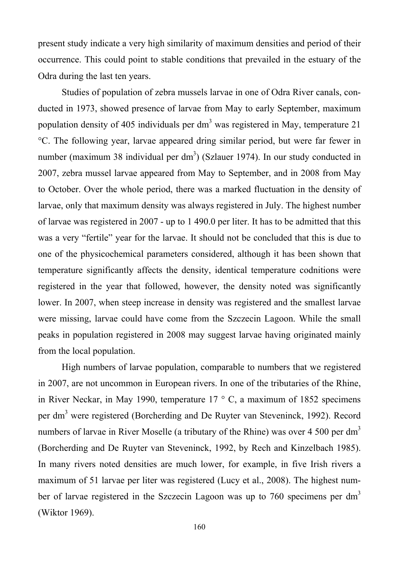present study indicate a very high similarity of maximum densities and period of their occurrence. This could point to stable conditions that prevailed in the estuary of the Odra during the last ten years.

Studies of population of zebra mussels larvae in one of Odra River canals, conducted in 1973, showed presence of larvae from May to early September, maximum population density of 405 individuals per dm<sup>3</sup> was registered in May, temperature 21 °C. The following year, larvae appeared dring similar period, but were far fewer in number (maximum 38 individual per dm<sup>3</sup>) (Szlauer 1974). In our study conducted in 2007, zebra mussel larvae appeared from May to September, and in 2008 from May to October. Over the whole period, there was a marked fluctuation in the density of larvae, only that maximum density was always registered in July. The highest number of larvae was registered in 2007 - up to 1 490.0 per liter. It has to be admitted that this was a very "fertile" year for the larvae. It should not be concluded that this is due to one of the physicochemical parameters considered, although it has been shown that temperature significantly affects the density, identical temperature codnitions were registered in the year that followed, however, the density noted was significantly lower. In 2007, when steep increase in density was registered and the smallest larvae were missing, larvae could have come from the Szczecin Lagoon. While the small peaks in population registered in 2008 may suggest larvae having originated mainly from the local population.

High numbers of larvae population, comparable to numbers that we registered in 2007, are not uncommon in European rivers. In one of the tributaries of the Rhine, in River Neckar, in May 1990, temperature 17 ° C, a maximum of 1852 specimens per dm<sup>3</sup> were registered (Borcherding and De Ruyter van Steveninck, 1992). Record numbers of larvae in River Moselle (a tributary of the Rhine) was over 4 500 per dm<sup>3</sup> (Borcherding and De Ruyter van Steveninck, 1992, by Rech and Kinzelbach 1985). In many rivers noted densities are much lower, for example, in five Irish rivers a maximum of 51 larvae per liter was registered (Lucy et al., 2008). The highest number of larvae registered in the Szczecin Lagoon was up to  $760$  specimens per dm<sup>3</sup> (Wiktor 1969).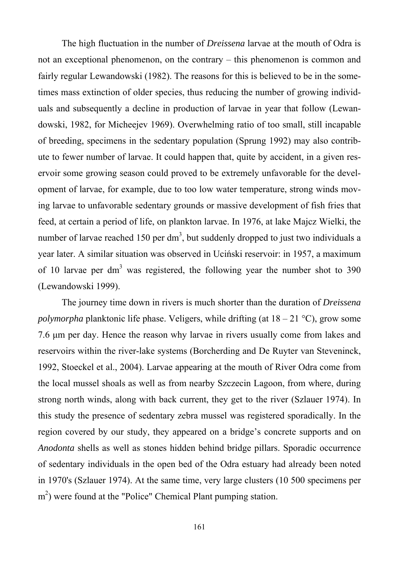The high fluctuation in the number of *Dreissena* larvae at the mouth of Odra is not an exceptional phenomenon, on the contrary – this phenomenon is common and fairly regular Lewandowski (1982). The reasons for this is believed to be in the sometimes mass extinction of older species, thus reducing the number of growing individuals and subsequently a decline in production of larvae in year that follow (Lewandowski, 1982, for Micheejev 1969). Overwhelming ratio of too small, still incapable of breeding, specimens in the sedentary population (Sprung 1992) may also contribute to fewer number of larvae. It could happen that, quite by accident, in a given reservoir some growing season could proved to be extremely unfavorable for the development of larvae, for example, due to too low water temperature, strong winds moving larvae to unfavorable sedentary grounds or massive development of fish fries that feed, at certain a period of life, on plankton larvae. In 1976, at lake Majcz Wielki, the number of larvae reached 150 per dm<sup>3</sup>, but suddenly dropped to just two individuals a year later. A similar situation was observed in Uciński reservoir: in 1957, a maximum of 10 larvae per dm<sup>3</sup> was registered, the following year the number shot to 390 (Lewandowski 1999).

The journey time down in rivers is much shorter than the duration of *Dreissena polymorpha* planktonic life phase. Veligers, while drifting (at 18 – 21 °C), grow some 7.6 μm per day. Hence the reason why larvae in rivers usually come from lakes and reservoirs within the river-lake systems (Borcherding and De Ruyter van Steveninck, 1992, Stoeckel et al., 2004). Larvae appearing at the mouth of River Odra come from the local mussel shoals as well as from nearby Szczecin Lagoon, from where, during strong north winds, along with back current, they get to the river (Szlauer 1974). In this study the presence of sedentary zebra mussel was registered sporadically. In the region covered by our study, they appeared on a bridge's concrete supports and on *Anodonta* shells as well as stones hidden behind bridge pillars. Sporadic occurrence of sedentary individuals in the open bed of the Odra estuary had already been noted in 1970's (Szlauer 1974). At the same time, very large clusters (10 500 specimens per m<sup>2</sup>) were found at the "Police" Chemical Plant pumping station.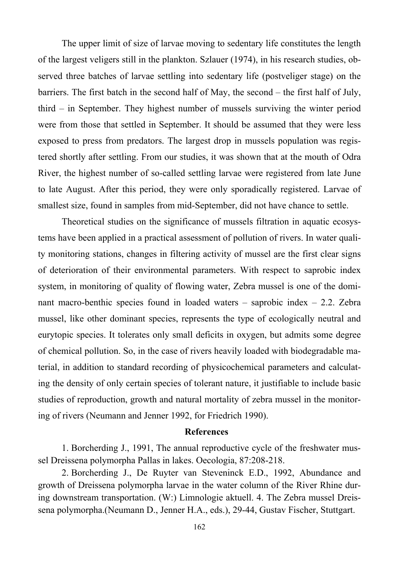The upper limit of size of larvae moving to sedentary life constitutes the length of the largest veligers still in the plankton. Szlauer (1974), in his research studies, observed three batches of larvae settling into sedentary life (postveliger stage) on the barriers. The first batch in the second half of May, the second – the first half of July, third – in September. They highest number of mussels surviving the winter period were from those that settled in September. It should be assumed that they were less exposed to press from predators. The largest drop in mussels population was registered shortly after settling. From our studies, it was shown that at the mouth of Odra River, the highest number of so-called settling larvae were registered from late June to late August. After this period, they were only sporadically registered. Larvae of smallest size, found in samples from mid-September, did not have chance to settle.

Theoretical studies on the significance of mussels filtration in aquatic ecosystems have been applied in a practical assessment of pollution of rivers. In water quality monitoring stations, changes in filtering activity of mussel are the first clear signs of deterioration of their environmental parameters. With respect to saprobic index system, in monitoring of quality of flowing water, Zebra mussel is one of the dominant macro-benthic species found in loaded waters – saprobic index – 2.2. Zebra mussel, like other dominant species, represents the type of ecologically neutral and eurytopic species. It tolerates only small deficits in oxygen, but admits some degree of chemical pollution. So, in the case of rivers heavily loaded with biodegradable material, in addition to standard recording of physicochemical parameters and calculating the density of only certain species of tolerant nature, it justifiable to include basic studies of reproduction, growth and natural mortality of zebra mussel in the monitoring of rivers (Neumann and Jenner 1992, for Friedrich 1990).

#### **References**

1. Borcherding J., 1991, The annual reproductive cycle of the freshwater mussel Dreissena polymorpha Pallas in lakes. Oecologia, 87:208-218.

2. Borcherding J., De Ruyter van Steveninck E.D., 1992, Abundance and growth of Dreissena polymorpha larvae in the water column of the River Rhine during downstream transportation. (W:) Limnologie aktuell. 4. The Zebra mussel Dreissena polymorpha.(Neumann D., Jenner H.A., eds.), 29-44, Gustav Fischer, Stuttgart.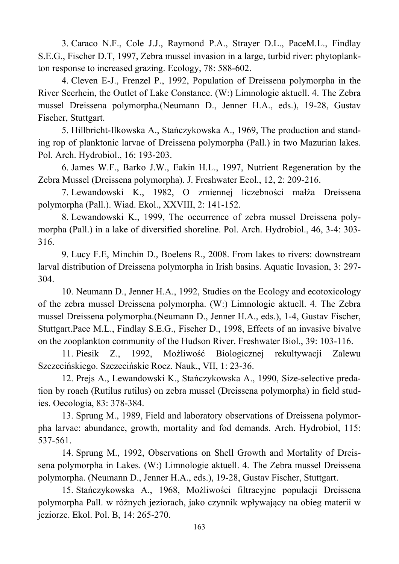3. Caraco N.F., Cole J.J., Raymond P.A., Strayer D.L., PaceM.L., Findlay S.E.G., Fischer D.T, 1997, Zebra mussel invasion in a large, turbid river: phytoplankton response to increased grazing. Ecology, 78: 588-602.

4. Cleven E-J., Frenzel P., 1992, Population of Dreissena polymorpha in the River Seerhein, the Outlet of Lake Constance. (W:) Limnologie aktuell. 4. The Zebra mussel Dreissena polymorpha.(Neumann D., Jenner H.A., eds.), 19-28, Gustav Fischer, Stuttgart.

5. Hillbricht-Ilkowska A., Stańczykowska A., 1969, The production and standing rop of planktonic larvae of Dreissena polymorpha (Pall.) in two Mazurian lakes. Pol. Arch. Hydrobiol., 16: 193-203.

6. James W.F., Barko J.W., Eakin H.L., 1997, Nutrient Regeneration by the Zebra Mussel (Dreissena polymorpha). J. Freshwater Ecol., 12, 2: 209-216.

7. Lewandowski K., 1982, O zmiennej liczebności małża Dreissena polymorpha (Pall.). Wiad. Ekol., XXVIII, 2: 141-152.

8. Lewandowski K., 1999, The occurrence of zebra mussel Dreissena polymorpha (Pall.) in a lake of diversified shoreline. Pol. Arch. Hydrobiol., 46, 3-4: 303- 316.

9. Lucy F.E, Minchin D., Boelens R., 2008. From lakes to rivers: downstream larval distribution of Dreissena polymorpha in Irish basins. Aquatic Invasion, 3: 297- 304.

10. Neumann D., Jenner H.A., 1992, Studies on the Ecology and ecotoxicology of the zebra mussel Dreissena polymorpha. (W:) Limnologie aktuell. 4. The Zebra mussel Dreissena polymorpha.(Neumann D., Jenner H.A., eds.), 1-4, Gustav Fischer, Stuttgart.Pace M.L., Findlay S.E.G., Fischer D., 1998, Effects of an invasive bivalve on the zooplankton community of the Hudson River. Freshwater Biol., 39: 103-116.

11. Piesik Z., 1992, Możliwość Biologicznej rekultywacji Zalewu Szczecińskiego. Szczecińskie Rocz. Nauk., VII, 1: 23-36.

12. Prejs A., Lewandowski K., Stańczykowska A., 1990, Size-selective predation by roach (Rutilus rutilus) on zebra mussel (Dreissena polymorpha) in field studies. Oecologia, 83: 378-384.

13. Sprung M., 1989, Field and laboratory observations of Dreissena polymorpha larvae: abundance, growth, mortality and fod demands. Arch. Hydrobiol, 115: 537-561.

14. Sprung M., 1992, Observations on Shell Growth and Mortality of Dreissena polymorpha in Lakes. (W:) Limnologie aktuell. 4. The Zebra mussel Dreissena polymorpha. (Neumann D., Jenner H.A., eds.), 19-28, Gustav Fischer, Stuttgart.

15. Stańczykowska A., 1968, Możliwości filtracyjne populacji Dreissena polymorpha Pall. w różnych jeziorach, jako czynnik wpływający na obieg materii w jeziorze. Ekol. Pol. B, 14: 265-270.